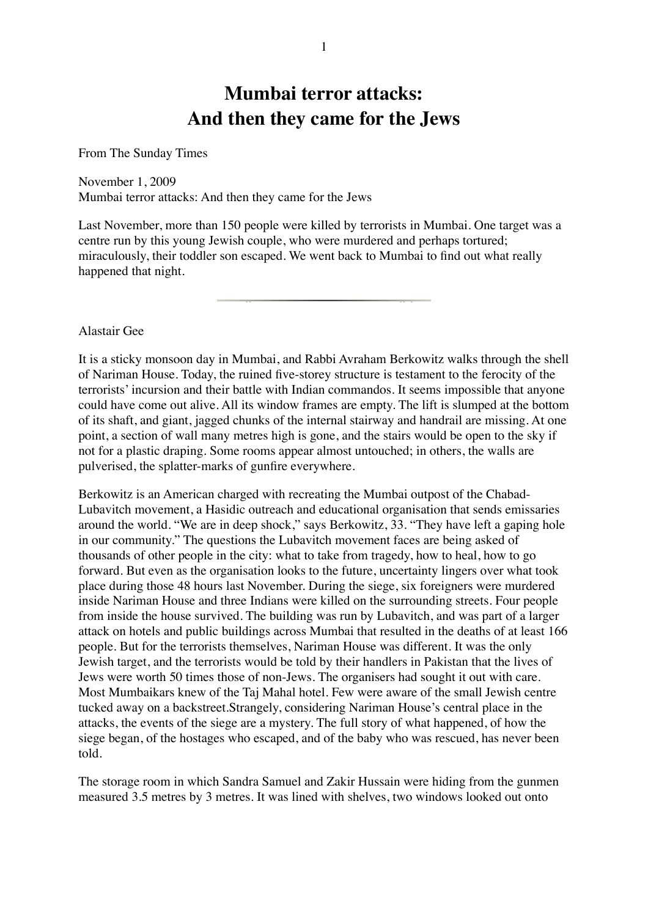## **Mumbai terror attacks: And then they came for the Jews**

From The Sunday Times

## November 1, 2009

Mumbai terror attacks: And then they came for the Jews

Last November, more than 150 people were killed by terrorists in Mumbai. One target was a centre run by this young Jewish couple, who were murdered and perhaps tortured; miraculously, their toddler son escaped. We went back to Mumbai to find out what really happened that night.

## Alastair Gee

It is a sticky monsoon day in Mumbai, and Rabbi Avraham Berkowitz walks through the shell of Nariman House. Today, the ruined five-storey structure is testament to the ferocity of the terrorists' incursion and their battle with Indian commandos. It seems impossible that anyone could have come out alive. All its window frames are empty. The lift is slumped at the bottom of its shaft, and giant, jagged chunks of the internal stairway and handrail are missing. At one point, a section of wall many metres high is gone, and the stairs would be open to the sky if not for a plastic draping. Some rooms appear almost untouched; in others, the walls are pulverised, the splatter-marks of gunfire everywhere.

Berkowitz is an American charged with recreating the Mumbai outpost of the Chabad-Lubavitch movement, a Hasidic outreach and educational organisation that sends emissaries around the world. "We are in deep shock," says Berkowitz, 33. "They have left a gaping hole in our community." The questions the Lubavitch movement faces are being asked of thousands of other people in the city: what to take from tragedy, how to heal, how to go forward. But even as the organisation looks to the future, uncertainty lingers over what took place during those 48 hours last November. During the siege, six foreigners were murdered inside Nariman House and three Indians were killed on the surrounding streets. Four people from inside the house survived. The building was run by Lubavitch, and was part of a larger attack on hotels and public buildings across Mumbai that resulted in the deaths of at least 166 people. But for the terrorists themselves, Nariman House was different. It was the only Jewish target, and the terrorists would be told by their handlers in Pakistan that the lives of Jews were worth 50 times those of non-Jews. The organisers had sought it out with care. Most Mumbaikars knew of the Taj Mahal hotel. Few were aware of the small Jewish centre tucked away on a backstreet.Strangely, considering Nariman House's central place in the attacks, the events of the siege are a mystery. The full story of what happened, of how the siege began, of the hostages who escaped, and of the baby who was rescued, has never been told.

The storage room in which Sandra Samuel and Zakir Hussain were hiding from the gunmen measured 3.5 metres by 3 metres. It was lined with shelves, two windows looked out onto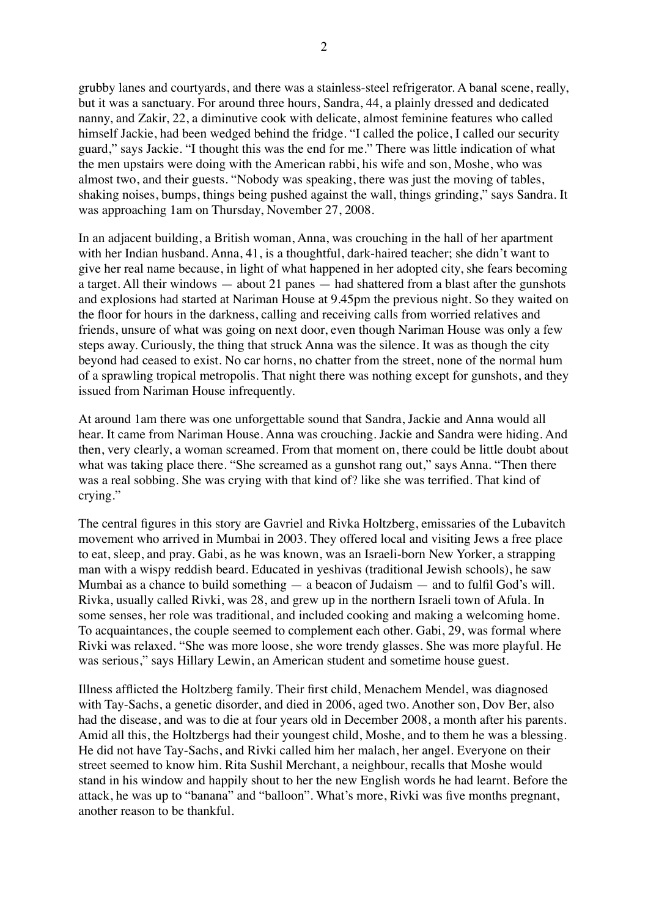grubby lanes and courtyards, and there was a stainless-steel refrigerator. A banal scene, really, but it was a sanctuary. For around three hours, Sandra, 44, a plainly dressed and dedicated nanny, and Zakir, 22, a diminutive cook with delicate, almost feminine features who called himself Jackie, had been wedged behind the fridge. "I called the police, I called our security guard," says Jackie. "I thought this was the end for me." There was little indication of what the men upstairs were doing with the American rabbi, his wife and son, Moshe, who was almost two, and their guests. "Nobody was speaking, there was just the moving of tables, shaking noises, bumps, things being pushed against the wall, things grinding," says Sandra. It was approaching 1am on Thursday, November 27, 2008.

In an adjacent building, a British woman, Anna, was crouching in the hall of her apartment with her Indian husband. Anna, 41, is a thoughtful, dark-haired teacher; she didn't want to give her real name because, in light of what happened in her adopted city, she fears becoming a target. All their windows — about 21 panes — had shattered from a blast after the gunshots and explosions had started at Nariman House at 9.45pm the previous night. So they waited on the floor for hours in the darkness, calling and receiving calls from worried relatives and friends, unsure of what was going on next door, even though Nariman House was only a few steps away. Curiously, the thing that struck Anna was the silence. It was as though the city beyond had ceased to exist. No car horns, no chatter from the street, none of the normal hum of a sprawling tropical metropolis. That night there was nothing except for gunshots, and they issued from Nariman House infrequently.

At around 1am there was one unforgettable sound that Sandra, Jackie and Anna would all hear. It came from Nariman House. Anna was crouching. Jackie and Sandra were hiding. And then, very clearly, a woman screamed. From that moment on, there could be little doubt about what was taking place there. "She screamed as a gunshot rang out," says Anna. "Then there was a real sobbing. She was crying with that kind of? like she was terrified. That kind of crying."

The central figures in this story are Gavriel and Rivka Holtzberg, emissaries of the Lubavitch movement who arrived in Mumbai in 2003. They offered local and visiting Jews a free place to eat, sleep, and pray. Gabi, as he was known, was an Israeli-born New Yorker, a strapping man with a wispy reddish beard. Educated in yeshivas (traditional Jewish schools), he saw Mumbai as a chance to build something — a beacon of Judaism — and to fulfil God's will. Rivka, usually called Rivki, was 28, and grew up in the northern Israeli town of Afula. In some senses, her role was traditional, and included cooking and making a welcoming home. To acquaintances, the couple seemed to complement each other. Gabi, 29, was formal where Rivki was relaxed. "She was more loose, she wore trendy glasses. She was more playful. He was serious," says Hillary Lewin, an American student and sometime house guest.

Illness afflicted the Holtzberg family. Their first child, Menachem Mendel, was diagnosed with Tay-Sachs, a genetic disorder, and died in 2006, aged two. Another son, Dov Ber, also had the disease, and was to die at four years old in December 2008, a month after his parents. Amid all this, the Holtzbergs had their youngest child, Moshe, and to them he was a blessing. He did not have Tay-Sachs, and Rivki called him her malach, her angel. Everyone on their street seemed to know him. Rita Sushil Merchant, a neighbour, recalls that Moshe would stand in his window and happily shout to her the new English words he had learnt. Before the attack, he was up to "banana" and "balloon". What's more, Rivki was five months pregnant, another reason to be thankful.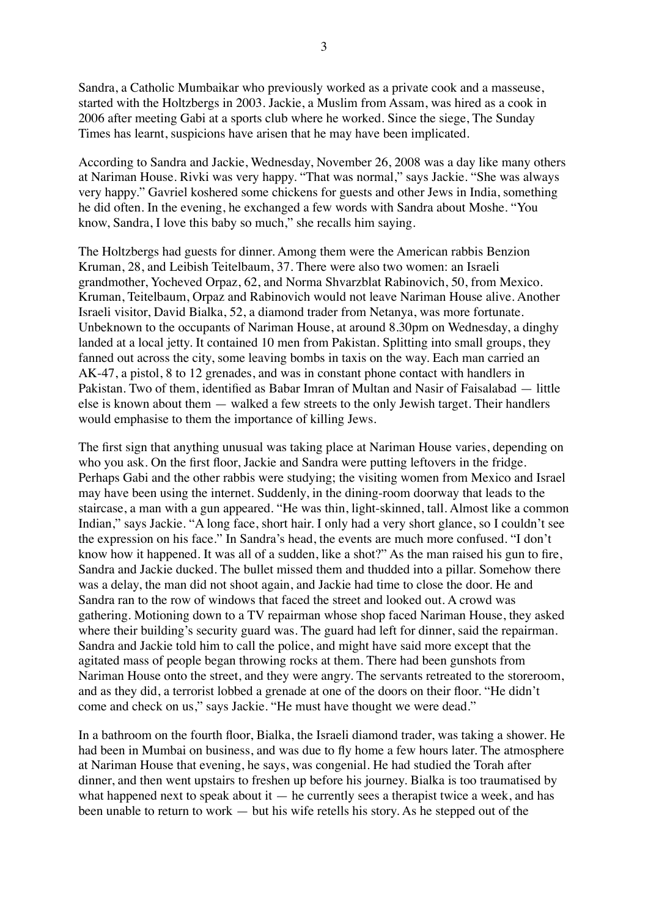Sandra, a Catholic Mumbaikar who previously worked as a private cook and a masseuse, started with the Holtzbergs in 2003. Jackie, a Muslim from Assam, was hired as a cook in 2006 after meeting Gabi at a sports club where he worked. Since the siege, The Sunday Times has learnt, suspicions have arisen that he may have been implicated.

According to Sandra and Jackie, Wednesday, November 26, 2008 was a day like many others at Nariman House. Rivki was very happy. "That was normal," says Jackie. "She was always very happy." Gavriel koshered some chickens for guests and other Jews in India, something he did often. In the evening, he exchanged a few words with Sandra about Moshe. "You know, Sandra, I love this baby so much," she recalls him saying.

The Holtzbergs had guests for dinner. Among them were the American rabbis Benzion Kruman, 28, and Leibish Teitelbaum, 37. There were also two women: an Israeli grandmother, Yocheved Orpaz, 62, and Norma Shvarzblat Rabinovich, 50, from Mexico. Kruman, Teitelbaum, Orpaz and Rabinovich would not leave Nariman House alive. Another Israeli visitor, David Bialka, 52, a diamond trader from Netanya, was more fortunate. Unbeknown to the occupants of Nariman House, at around 8.30pm on Wednesday, a dinghy landed at a local jetty. It contained 10 men from Pakistan. Splitting into small groups, they fanned out across the city, some leaving bombs in taxis on the way. Each man carried an AK-47, a pistol, 8 to 12 grenades, and was in constant phone contact with handlers in Pakistan. Two of them, identified as Babar Imran of Multan and Nasir of Faisalabad — little else is known about them — walked a few streets to the only Jewish target. Their handlers would emphasise to them the importance of killing Jews.

The first sign that anything unusual was taking place at Nariman House varies, depending on who you ask. On the first floor, Jackie and Sandra were putting leftovers in the fridge. Perhaps Gabi and the other rabbis were studying; the visiting women from Mexico and Israel may have been using the internet. Suddenly, in the dining-room doorway that leads to the staircase, a man with a gun appeared. "He was thin, light-skinned, tall. Almost like a common Indian," says Jackie. "A long face, short hair. I only had a very short glance, so I couldn't see the expression on his face." In Sandra's head, the events are much more confused. "I don't know how it happened. It was all of a sudden, like a shot?" As the man raised his gun to fire, Sandra and Jackie ducked. The bullet missed them and thudded into a pillar. Somehow there was a delay, the man did not shoot again, and Jackie had time to close the door. He and Sandra ran to the row of windows that faced the street and looked out. A crowd was gathering. Motioning down to a TV repairman whose shop faced Nariman House, they asked where their building's security guard was. The guard had left for dinner, said the repairman. Sandra and Jackie told him to call the police, and might have said more except that the agitated mass of people began throwing rocks at them. There had been gunshots from Nariman House onto the street, and they were angry. The servants retreated to the storeroom, and as they did, a terrorist lobbed a grenade at one of the doors on their floor. "He didn't come and check on us," says Jackie. "He must have thought we were dead."

In a bathroom on the fourth floor, Bialka, the Israeli diamond trader, was taking a shower. He had been in Mumbai on business, and was due to fly home a few hours later. The atmosphere at Nariman House that evening, he says, was congenial. He had studied the Torah after dinner, and then went upstairs to freshen up before his journey. Bialka is too traumatised by what happened next to speak about it  $-$  he currently sees a therapist twice a week, and has been unable to return to work — but his wife retells his story. As he stepped out of the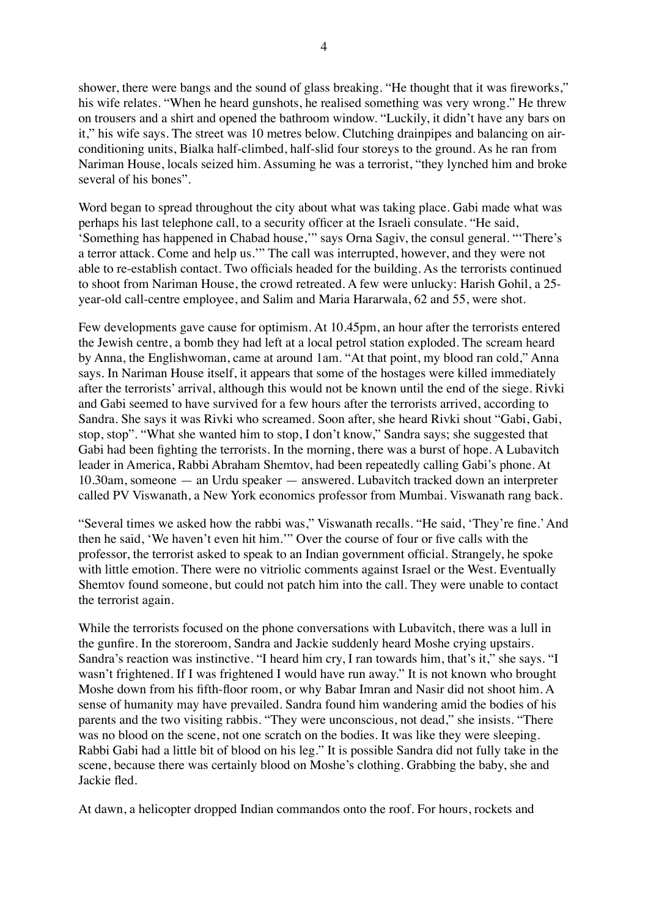shower, there were bangs and the sound of glass breaking. "He thought that it was fireworks," his wife relates. "When he heard gunshots, he realised something was very wrong." He threw on trousers and a shirt and opened the bathroom window. "Luckily, it didn't have any bars on it," his wife says. The street was 10 metres below. Clutching drainpipes and balancing on airconditioning units, Bialka half-climbed, half-slid four storeys to the ground. As he ran from Nariman House, locals seized him. Assuming he was a terrorist, "they lynched him and broke several of his bones".

Word began to spread throughout the city about what was taking place. Gabi made what was perhaps his last telephone call, to a security officer at the Israeli consulate. "He said, 'Something has happened in Chabad house,'" says Orna Sagiv, the consul general. "'There's a terror attack. Come and help us.'" The call was interrupted, however, and they were not able to re-establish contact. Two officials headed for the building. As the terrorists continued to shoot from Nariman House, the crowd retreated. A few were unlucky: Harish Gohil, a 25 year-old call-centre employee, and Salim and Maria Hararwala, 62 and 55, were shot.

Few developments gave cause for optimism. At 10.45pm, an hour after the terrorists entered the Jewish centre, a bomb they had left at a local petrol station exploded. The scream heard by Anna, the Englishwoman, came at around 1am. "At that point, my blood ran cold," Anna says. In Nariman House itself, it appears that some of the hostages were killed immediately after the terrorists' arrival, although this would not be known until the end of the siege. Rivki and Gabi seemed to have survived for a few hours after the terrorists arrived, according to Sandra. She says it was Rivki who screamed. Soon after, she heard Rivki shout "Gabi, Gabi, stop, stop". "What she wanted him to stop, I don't know," Sandra says; she suggested that Gabi had been fighting the terrorists. In the morning, there was a burst of hope. A Lubavitch leader in America, Rabbi Abraham Shemtov, had been repeatedly calling Gabi's phone. At 10.30am, someone — an Urdu speaker — answered. Lubavitch tracked down an interpreter called PV Viswanath, a New York economics professor from Mumbai. Viswanath rang back.

"Several times we asked how the rabbi was," Viswanath recalls. "He said, 'They're fine.'And then he said, 'We haven't even hit him.'" Over the course of four or five calls with the professor, the terrorist asked to speak to an Indian government official. Strangely, he spoke with little emotion. There were no vitriolic comments against Israel or the West. Eventually Shemtov found someone, but could not patch him into the call. They were unable to contact the terrorist again.

While the terrorists focused on the phone conversations with Lubavitch, there was a lull in the gunfire. In the storeroom, Sandra and Jackie suddenly heard Moshe crying upstairs. Sandra's reaction was instinctive. "I heard him cry, I ran towards him, that's it," she says. "I wasn't frightened. If I was frightened I would have run away." It is not known who brought Moshe down from his fifth-floor room, or why Babar Imran and Nasir did not shoot him. A sense of humanity may have prevailed. Sandra found him wandering amid the bodies of his parents and the two visiting rabbis. "They were unconscious, not dead," she insists. "There was no blood on the scene, not one scratch on the bodies. It was like they were sleeping. Rabbi Gabi had a little bit of blood on his leg." It is possible Sandra did not fully take in the scene, because there was certainly blood on Moshe's clothing. Grabbing the baby, she and Jackie fled.

At dawn, a helicopter dropped Indian commandos onto the roof. For hours, rockets and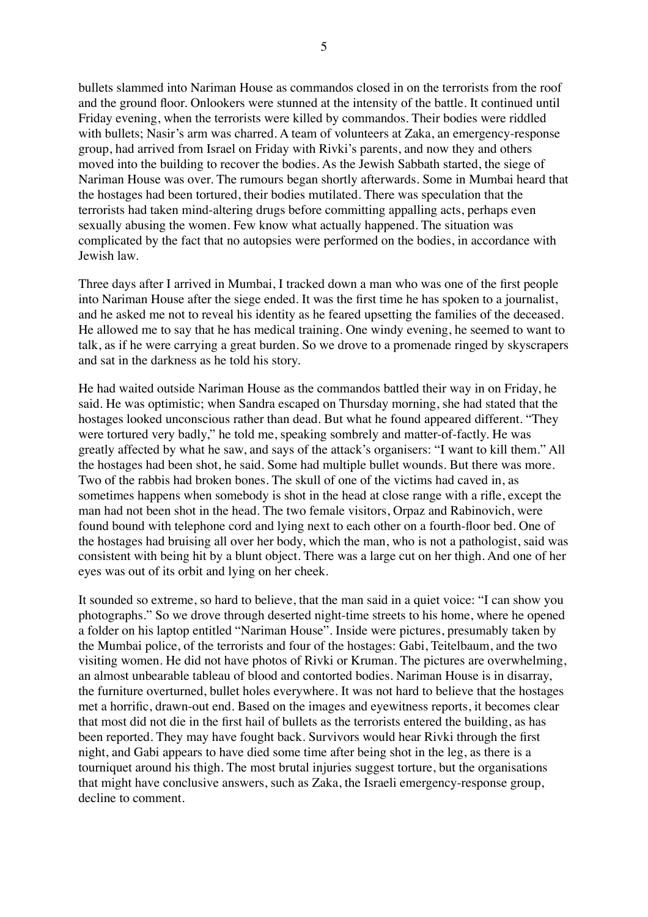bullets slammed into Nariman House as commandos closed in on the terrorists from the roof and the ground floor. Onlookers were stunned at the intensity of the battle. It continued until Friday evening, when the terrorists were killed by commandos. Their bodies were riddled with bullets; Nasir's arm was charred. A team of volunteers at Zaka, an emergency-response group, had arrived from Israel on Friday with Rivki's parents, and now they and others moved into the building to recover the bodies. As the Jewish Sabbath started, the siege of Nariman House was over. The rumours began shortly afterwards. Some in Mumbai heard that the hostages had been tortured, their bodies mutilated. There was speculation that the terrorists had taken mind-altering drugs before committing appalling acts, perhaps even sexually abusing the women. Few know what actually happened. The situation was complicated by the fact that no autopsies were performed on the bodies, in accordance with Jewish law.

Three days after I arrived in Mumbai, I tracked down a man who was one of the first people into Nariman House after the siege ended. It was the first time he has spoken to a journalist, and he asked me not to reveal his identity as he feared upsetting the families of the deceased. He allowed me to say that he has medical training. One windy evening, he seemed to want to talk, as if he were carrying a great burden. So we drove to a promenade ringed by skyscrapers and sat in the darkness as he told his story.

He had waited outside Nariman House as the commandos battled their way in on Friday, he said. He was optimistic; when Sandra escaped on Thursday morning, she had stated that the hostages looked unconscious rather than dead. But what he found appeared different. "They were tortured very badly," he told me, speaking sombrely and matter-of-factly. He was greatly affected by what he saw, and says of the attack's organisers: "I want to kill them." All the hostages had been shot, he said. Some had multiple bullet wounds. But there was more. Two of the rabbis had broken bones. The skull of one of the victims had caved in, as sometimes happens when somebody is shot in the head at close range with a rifle, except the man had not been shot in the head. The two female visitors, Orpaz and Rabinovich, were found bound with telephone cord and lying next to each other on a fourth-floor bed. One of the hostages had bruising all over her body, which the man, who is not a pathologist, said was consistent with being hit by a blunt object. There was a large cut on her thigh. And one of her eyes was out of its orbit and lying on her cheek.

It sounded so extreme, so hard to believe, that the man said in a quiet voice: "I can show you photographs." So we drove through deserted night-time streets to his home, where he opened a folder on his laptop entitled "Nariman House". Inside were pictures, presumably taken by the Mumbai police, of the terrorists and four of the hostages: Gabi, Teitelbaum, and the two visiting women. He did not have photos of Rivki or Kruman. The pictures are overwhelming, an almost unbearable tableau of blood and contorted bodies. Nariman House is in disarray, the furniture overturned, bullet holes everywhere. It was not hard to believe that the hostages met a horrific, drawn-out end. Based on the images and eyewitness reports, it becomes clear that most did not die in the first hail of bullets as the terrorists entered the building, as has been reported. They may have fought back. Survivors would hear Rivki through the first night, and Gabi appears to have died some time after being shot in the leg, as there is a tourniquet around his thigh. The most brutal injuries suggest torture, but the organisations that might have conclusive answers, such as Zaka, the Israeli emergency-response group, decline to comment.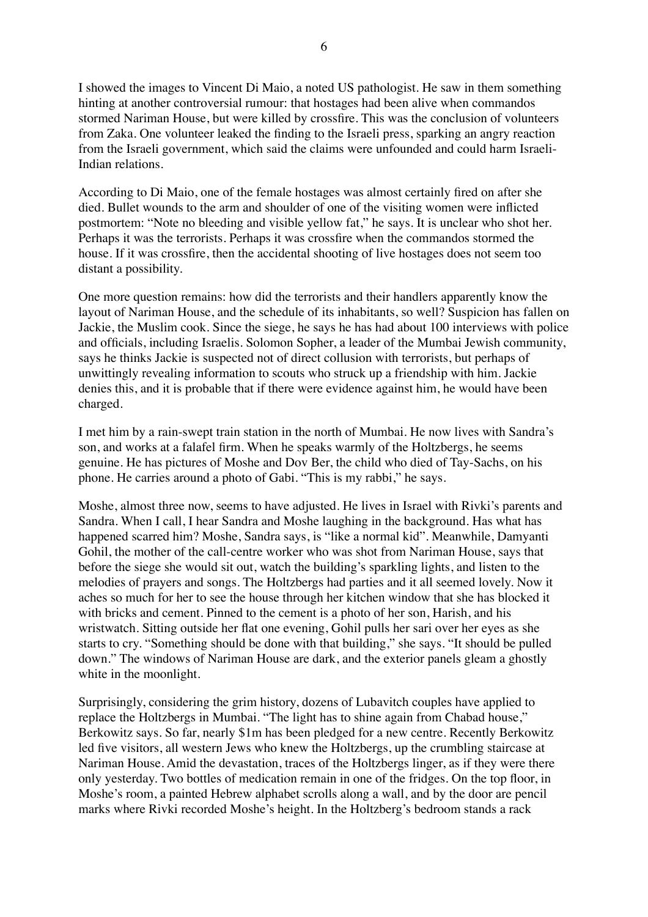I showed the images to Vincent Di Maio, a noted US pathologist. He saw in them something hinting at another controversial rumour: that hostages had been alive when commandos stormed Nariman House, but were killed by crossfire. This was the conclusion of volunteers from Zaka. One volunteer leaked the finding to the Israeli press, sparking an angry reaction from the Israeli government, which said the claims were unfounded and could harm Israeli-Indian relations.

According to Di Maio, one of the female hostages was almost certainly fired on after she died. Bullet wounds to the arm and shoulder of one of the visiting women were inflicted postmortem: "Note no bleeding and visible yellow fat," he says. It is unclear who shot her. Perhaps it was the terrorists. Perhaps it was crossfire when the commandos stormed the house. If it was crossfire, then the accidental shooting of live hostages does not seem too distant a possibility.

One more question remains: how did the terrorists and their handlers apparently know the layout of Nariman House, and the schedule of its inhabitants, so well? Suspicion has fallen on Jackie, the Muslim cook. Since the siege, he says he has had about 100 interviews with police and officials, including Israelis. Solomon Sopher, a leader of the Mumbai Jewish community, says he thinks Jackie is suspected not of direct collusion with terrorists, but perhaps of unwittingly revealing information to scouts who struck up a friendship with him. Jackie denies this, and it is probable that if there were evidence against him, he would have been charged.

I met him by a rain-swept train station in the north of Mumbai. He now lives with Sandra's son, and works at a falafel firm. When he speaks warmly of the Holtzbergs, he seems genuine. He has pictures of Moshe and Dov Ber, the child who died of Tay-Sachs, on his phone. He carries around a photo of Gabi. "This is my rabbi," he says.

Moshe, almost three now, seems to have adjusted. He lives in Israel with Rivki's parents and Sandra. When I call, I hear Sandra and Moshe laughing in the background. Has what has happened scarred him? Moshe, Sandra says, is "like a normal kid". Meanwhile, Damyanti Gohil, the mother of the call-centre worker who was shot from Nariman House, says that before the siege she would sit out, watch the building's sparkling lights, and listen to the melodies of prayers and songs. The Holtzbergs had parties and it all seemed lovely. Now it aches so much for her to see the house through her kitchen window that she has blocked it with bricks and cement. Pinned to the cement is a photo of her son, Harish, and his wristwatch. Sitting outside her flat one evening, Gohil pulls her sari over her eyes as she starts to cry. "Something should be done with that building," she says. "It should be pulled down." The windows of Nariman House are dark, and the exterior panels gleam a ghostly white in the moonlight.

Surprisingly, considering the grim history, dozens of Lubavitch couples have applied to replace the Holtzbergs in Mumbai. "The light has to shine again from Chabad house," Berkowitz says. So far, nearly \$1m has been pledged for a new centre. Recently Berkowitz led five visitors, all western Jews who knew the Holtzbergs, up the crumbling staircase at Nariman House. Amid the devastation, traces of the Holtzbergs linger, as if they were there only yesterday. Two bottles of medication remain in one of the fridges. On the top floor, in Moshe's room, a painted Hebrew alphabet scrolls along a wall, and by the door are pencil marks where Rivki recorded Moshe's height. In the Holtzberg's bedroom stands a rack